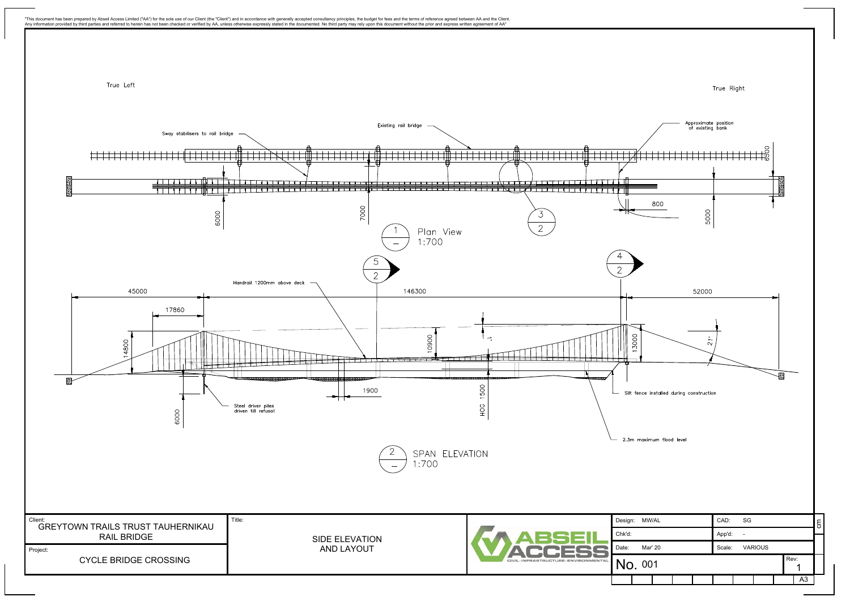

Any information provided by third parties and referred to herein has not been checked or verified by AA, unless otherwise expressly stated in the documented. No third party may rely upon this document without the prior and

"This document has been prepared by Abseil Access Limited ("AA") for the sole use of our Client (the "Client") and in accordance with generally accepted consultancy principles, the budget for fees and the terms of referenc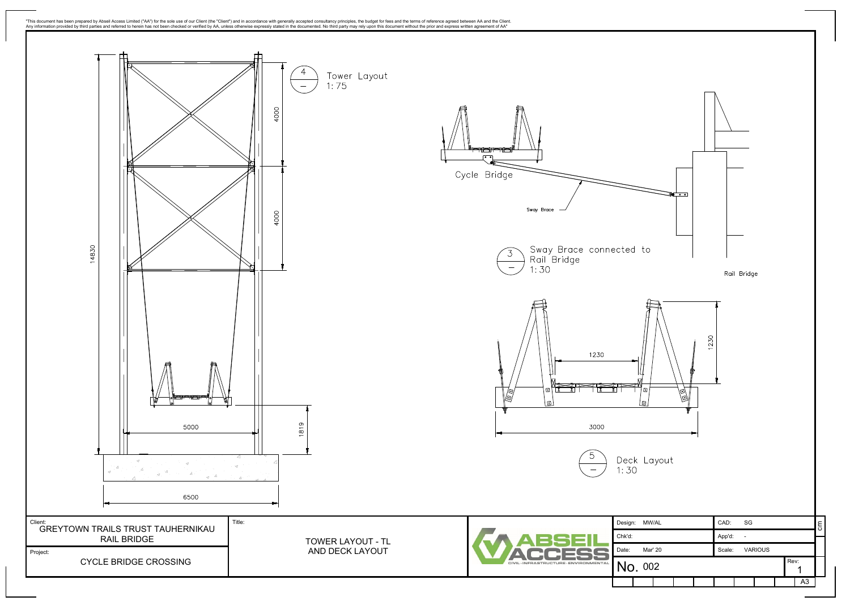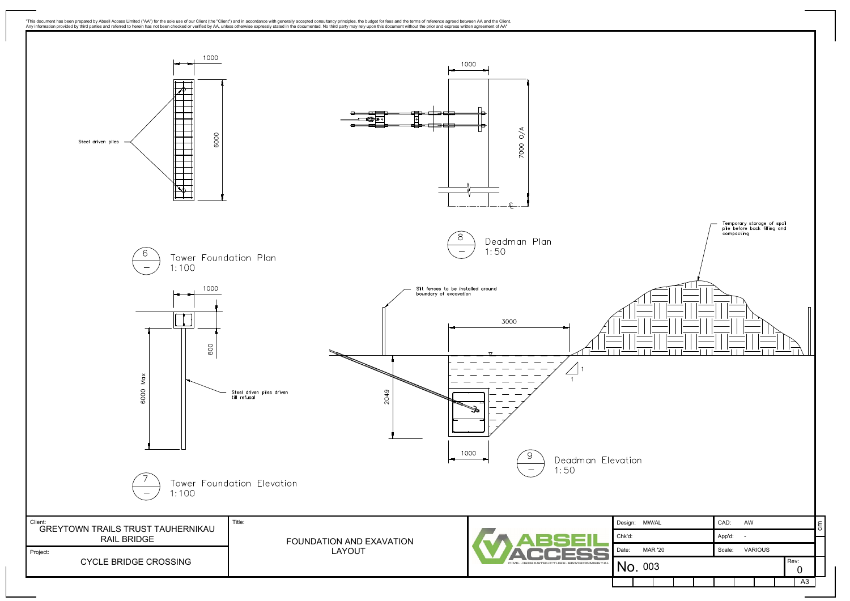![](_page_2_Figure_0.jpeg)